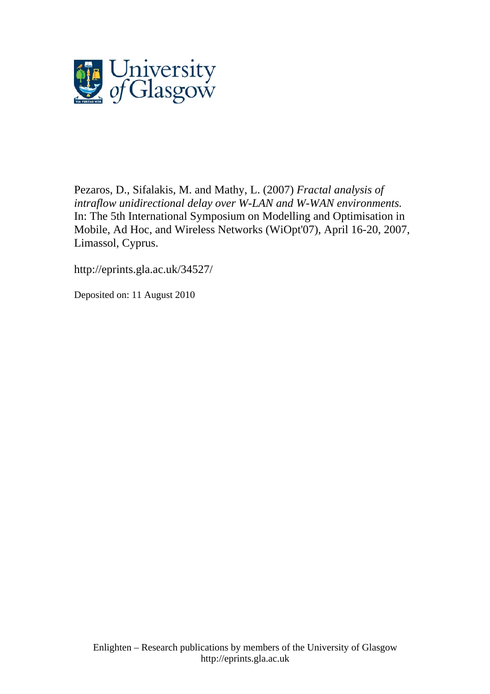

[Pezaros, D.](http://eprints.gla.ac.uk/view/author/5079.html), Sifalakis, M. and Mathy, L. (2007) *Fractal analysis of intraflow unidirectional delay over W-LAN and W-WAN environments.* In: The 5th International Symposium on Modelling and Optimisation in Mobile, Ad Hoc, and Wireless Networks (WiOpt'07), April 16-20, 2007, Limassol, Cyprus.

http://eprints.gla.ac.uk/34527/

Deposited on: 11 August 2010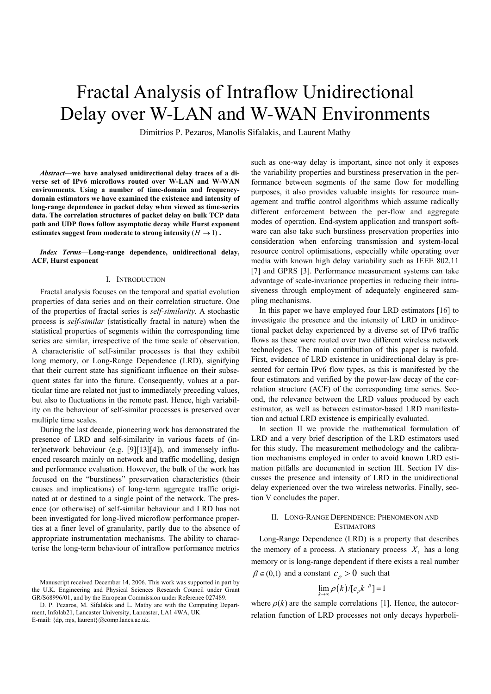# Fractal Analysis of Intraflow Unidirectional Delay over W-LAN and W-WAN Environments

Dimitrios P. Pezaros, Manolis Sifalakis, and Laurent Mathy

*Abstract***—we have analysed unidirectional delay traces of a diverse set of IPv6 microflows routed over W-LAN and W-WAN environments. Using a number of time-domain and frequencydomain estimators we have examined the existence and intensity of long-range dependence in packet delay when viewed as time-series data. The correlation structures of packet delay on bulk TCP data path and UDP flows follow asymptotic decay while Hurst exponent estimates suggest from moderate to strong intensity**  $(H \rightarrow 1)$ **.** 

*Index Terms***—Long-range dependence, unidirectional delay, ACF, Hurst exponent** 

#### I. INTRODUCTION

Fractal analysis focuses on the temporal and spatial evolution properties of data series and on their correlation structure. One of the properties of fractal series is *self-similarity.* A stochastic process is *self-similar* (statistically fractal in nature) when the statistical properties of segments within the corresponding time series are similar, irrespective of the time scale of observation. A characteristic of self-similar processes is that they exhibit long memory, or Long-Range Dependence (LRD), signifying that their current state has significant influence on their subsequent states far into the future. Consequently, values at a particular time are related not just to immediately preceding values, but also to fluctuations in the remote past. Hence, high variability on the behaviour of self-similar processes is preserved over multiple time scales.

During the last decade, pioneering work has demonstrated the presence of LRD and self-similarity in various facets of (inter)network behaviour (e.g. [9][13][4]), and immensely influenced research mainly on network and traffic modelling, design and performance evaluation. However, the bulk of the work has focused on the "burstiness" preservation characteristics (their causes and implications) of long-term aggregate traffic originated at or destined to a single point of the network. The presence (or otherwise) of self-similar behaviour and LRD has not been investigated for long-lived microflow performance properties at a finer level of granularity, partly due to the absence of appropriate instrumentation mechanisms. The ability to characterise the long-term behaviour of intraflow performance metrics such as one-way delay is important, since not only it exposes the variability properties and burstiness preservation in the performance between segments of the same flow for modelling purposes, it also provides valuable insights for resource management and traffic control algorithms which assume radically different enforcement between the per-flow and aggregate modes of operation. End-system application and transport software can also take such burstiness preservation properties into consideration when enforcing transmission and system-local resource control optimisations, especially while operating over media with known high delay variability such as IEEE 802.11 [7] and GPRS [3]. Performance measurement systems can take advantage of scale-invariance properties in reducing their intrusiveness through employment of adequately engineered sampling mechanisms.

In this paper we have employed four LRD estimators [16] to investigate the presence and the intensity of LRD in unidirectional packet delay experienced by a diverse set of IPv6 traffic flows as these were routed over two different wireless network technologies. The main contribution of this paper is twofold. First, evidence of LRD existence in unidirectional delay is presented for certain IPv6 flow types, as this is manifested by the four estimators and verified by the power-law decay of the correlation structure (ACF) of the corresponding time series. Second, the relevance between the LRD values produced by each estimator, as well as between estimator-based LRD manifestation and actual LRD existence is empirically evaluated.

In section II we provide the mathematical formulation of LRD and a very brief description of the LRD estimators used for this study. The measurement methodology and the calibration mechanisms employed in order to avoid known LRD estimation pitfalls are documented in section III. Section IV discusses the presence and intensity of LRD in the unidirectional delay experienced over the two wireless networks. Finally, section V concludes the paper.

## II. LONG-RANGE DEPENDENCE: PHENOMENON AND **ESTIMATORS**

Long-Range Dependence (LRD) is a property that describes the memory of a process. A stationary process  $X_t$ , has a long memory or is long-range dependent if there exists a real number  $\beta \in (0,1)$  and a constant  $c_{\rho} > 0$  such that

$$
\lim_{k \to \infty} \rho(k) / [c_{\rho} k^{-\beta}] = 1
$$

where  $\rho(k)$  are the sample correlations [1]. Hence, the autocorrelation function of LRD processes not only decays hyperboli-

Manuscript received December 14, 2006. This work was supported in part by the U.K. Engineering and Physical Sciences Research Council under Grant GR/S68996/01, and by the European Commission under Reference 027489.

D. P. Pezaros, M. Sifalakis and L. Mathy are with the Computing Department, Infolab21, Lancaster University, Lancaster, LA1 4WA, UK E-mail: {dp, mjs, laurent}@comp.lancs.ac.uk.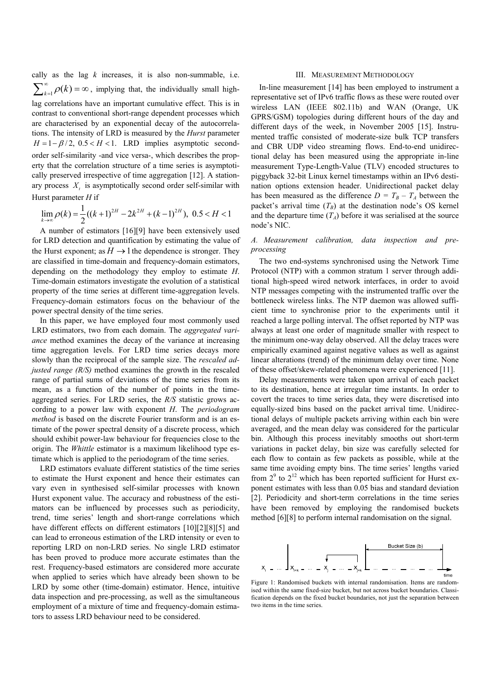cally as the lag  $k$  increases, it is also non-summable, i.e.  $\sum_{k=1}^{\infty} \rho(k) = \infty$ , implying that, the individually small highlag correlations have an important cumulative effect. This is in

contrast to conventional short-range dependent processes which are characterised by an exponential decay of the autocorrelations. The intensity of LRD is measured by the *Hurst* parameter  $H = 1 - \frac{\beta}{2}$ , 0.5 < H < 1. **LRD** implies asymptotic secondorder self-similarity -and vice versa-, which describes the property that the correlation structure of a time series is asymptotically preserved irrespective of time aggregation [12]. A stationary process  $X<sub>t</sub>$  is asymptotically second order self-similar with Hurst parameter *H* if

$$
\lim_{k \to \infty} \rho(k) = \frac{1}{2}((k+1)^{2H} - 2k^{2H} + (k-1)^{2H}), \ 0.5 < H < 1
$$

A number of estimators [16][9] have been extensively used for LRD detection and quantification by estimating the value of the Hurst exponent; as  $H \rightarrow 1$  the dependence is stronger. They are classified in time-domain and frequency-domain estimators, depending on the methodology they employ to estimate *H*. Time-domain estimators investigate the evolution of a statistical property of the time series at different time-aggregation levels. Frequency-domain estimators focus on the behaviour of the power spectral density of the time series.

In this paper, we have employed four most commonly used LRD estimators, two from each domain. The *aggregated variance* method examines the decay of the variance at increasing time aggregation levels. For LRD time series decays more slowly than the reciprocal of the sample size. The *rescaled adjusted range (R/S)* method examines the growth in the rescaled range of partial sums of deviations of the time series from its mean, as a function of the number of points in the timeaggregated series. For LRD series, the *R/S* statistic grows according to a power law with exponent *H*. The *periodogram method* is based on the discrete Fourier transform and is an estimate of the power spectral density of a discrete process, which should exhibit power-law behaviour for frequencies close to the origin. The *Whittle* estimator is a maximum likelihood type estimate which is applied to the periodogram of the time series.

LRD estimators evaluate different statistics of the time series to estimate the Hurst exponent and hence their estimates can vary even in synthesised self-similar processes with known Hurst exponent value. The accuracy and robustness of the estimators can be influenced by processes such as periodicity, trend, time series' length and short-range correlations which have different effects on different estimators [10][2][8][5] and can lead to erroneous estimation of the LRD intensity or even to reporting LRD on non-LRD series. No single LRD estimator has been proved to produce more accurate estimates than the rest. Frequency-based estimators are considered more accurate when applied to series which have already been shown to be LRD by some other (time-domain) estimator. Hence, intuitive data inspection and pre-processing, as well as the simultaneous employment of a mixture of time and frequency-domain estimators to assess LRD behaviour need to be considered.

### III. MEASUREMENT METHODOLOGY

In-line measurement [14] has been employed to instrument a representative set of IPv6 traffic flows as these were routed over wireless LAN (IEEE 802.11b) and WAN (Orange, UK GPRS/GSM) topologies during different hours of the day and different days of the week, in November 2005 [15]. Instrumented traffic consisted of moderate-size bulk TCP transfers and CBR UDP video streaming flows. End-to-end unidirectional delay has been measured using the appropriate in-line measurement Type-Length-Value (TLV) encoded structures to piggyback 32-bit Linux kernel timestamps within an IPv6 destination options extension header. Unidirectional packet delay has been measured as the difference  $D = T_B - T_A$  between the packet's arrival time  $(T_B)$  at the destination node's OS kernel and the departure time  $(T_A)$  before it was serialised at the source node's NIC.

# *A. Measurement calibration, data inspection and preprocessing*

The two end-systems synchronised using the Network Time Protocol (NTP) with a common stratum 1 server through additional high-speed wired network interfaces, in order to avoid NTP messages competing with the instrumented traffic over the bottleneck wireless links. The NTP daemon was allowed sufficient time to synchronise prior to the experiments until it reached a large polling interval. The offset reported by NTP was always at least one order of magnitude smaller with respect to the minimum one-way delay observed. All the delay traces were empirically examined against negative values as well as against linear alterations (trend) of the minimum delay over time. None of these offset/skew-related phenomena were experienced [11].

Delay measurements were taken upon arrival of each packet to its destination, hence at irregular time instants. In order to covert the traces to time series data, they were discretised into equally-sized bins based on the packet arrival time. Unidirectional delays of multiple packets arriving within each bin were averaged, and the mean delay was considered for the particular bin. Although this process inevitably smooths out short-term variations in packet delay, bin size was carefully selected for each flow to contain as few packets as possible, while at the same time avoiding empty bins. The time series' lengths varied from  $2^9$  to  $2^{12}$  which has been reported sufficient for Hurst exponent estimates with less than 0.05 bias and standard deviation [2]. Periodicity and short-term correlations in the time series have been removed by employing the randomised buckets method [6][8] to perform internal randomisation on the signal.



Figure 1: Randomised buckets with internal randomisation. Items are randomised within the same fixed-size bucket, but not across bucket boundaries. Classification depends on the fixed bucket boundaries, not just the separation between two items in the time series.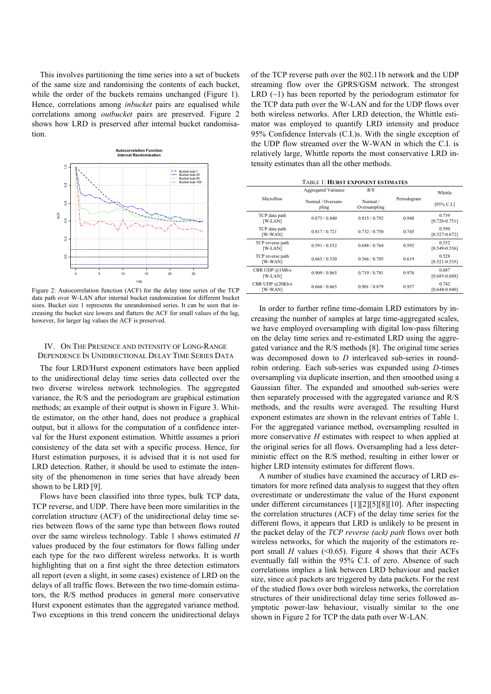This involves partitioning the time series into a set of buckets of the same size and randomising the contents of each bucket, while the order of the buckets remains unchanged (Figure 1). Hence, correlations among *inbucket* pairs are equalised while correlations among *outbucket* pairs are preserved. Figure 2 shows how LRD is preserved after internal bucket randomisation.



Figure 2: Autocorrelation function (ACF) for the delay time series of the TCP data path over W-LAN after internal bucket randomization for different bucket sizes. Bucket size 1 represents the unrandomised series. It can be seen that increasing the bucket size lowers and flatters the ACF for small values of the lag, however, for larger lag values the ACF is preserved.

# IV. ON THE PRESENCE AND INTENSITY OF LONG-RANGE DEPENDENCE IN UNIDIRECTIONAL DELAY TIME SERIES DATA

The four LRD/Hurst exponent estimators have been applied to the unidirectional delay time series data collected over the two diverse wireless network technologies. The aggregated variance, the R/S and the periodogram are graphical estimation methods; an example of their output is shown in Figure 3. Whittle estimator, on the other hand, does not produce a graphical output, but it allows for the computation of a confidence interval for the Hurst exponent estimation. Whittle assumes a priori consistency of the data set with a specific process. Hence, for Hurst estimation purposes, it is advised that it is not used for LRD detection. Rather, it should be used to estimate the intensity of the phenomenon in time series that have already been shown to be LRD [9].

Flows have been classified into three types, bulk TCP data, TCP reverse, and UDP. There have been more similarities in the correlation structure (ACF) of the unidirectional delay time series between flows of the same type than between flows routed over the same wireless technology. Table 1 shows estimated *H* values produced by the four estimators for flows falling under each type for the two different wireless networks. It is worth highlighting that on a first sight the three detection estimators all report (even a slight, in some cases) existence of LRD on the delays of all traffic flows. Between the two time-domain estimators, the R/S method produces in general more conservative Hurst exponent estimates than the aggregated variance method. Two exceptions in this trend concern the unidirectional delays of the TCP reverse path over the 802.11b network and the UDP streaming flow over the GPRS/GSM network. The strongest LRD  $(-1)$  has been reported by the periodogram estimator for the TCP data path over the W-LAN and for the UDP flows over both wireless networks. After LRD detection, the Whittle estimator was employed to quantify LRD intensity and produce 95% Confidence Intervals (C.I.)s. With the single exception of the UDP flow streamed over the W-WAN in which the C.I. is relatively large, Whittle reports the most conservative LRD intensity estimates than all the other methods.

| <b>TABLE 1: HURST EXPONENT ESTIMATES</b> |                            |                          |             |                            |
|------------------------------------------|----------------------------|--------------------------|-------------|----------------------------|
| Microflow                                | <b>Aggregated Variance</b> | R/S                      | Periodogram | Whittle                    |
|                                          | Normal / Oversam-<br>pling | Normal /<br>Oversampling |             | [95% C.I.]                 |
| TCP data path<br>[W-LAN]                 | 0.875 / 0.840              | 0 815 / 0 792            | 0.948       | 0.739<br>$[0.726 - 0.751]$ |
| TCP data path<br>[W-WAN]                 | 0.817 / 0.721              | 0 732 / 0 750            | 0 745       | 0.599<br>$[0.527 - 0.672]$ |
| TCP reverse path<br>[W-LAN]              | 0.591/0.532                | 0 688 / 0 764            | 0.592       | 0.552<br>$[0.549 - 0.556]$ |
| TCP reverse path<br>[W-WAN]              | 0.665 / 0.530              | 0.566 / 0.705            | 0.619       | 0.528<br>$[0.521 - 0.535]$ |
| CBR UDP @1Mb/s<br>[W-LAN]                | 0.909 / 0.865              | 0.719/0.781              | 0976        | 0.687<br>$[0.685 - 0.688]$ |
| CBR UDP @20Kb/s<br>[W-WAN]               | 0.666 / 0.665              | 0.901 / 0.879            | 0.957       | 0 742<br>$[0.644 - 0.840]$ |

In order to further refine time-domain LRD estimators by increasing the number of samples at large time-aggregated scales, we have employed oversampling with digital low-pass filtering on the delay time series and re-estimated LRD using the aggregated variance and the R/S methods [8]. The original time series was decomposed down to *D* interleaved sub-series in roundrobin ordering. Each sub-series was expanded using *D*-times oversampling via duplicate insertion, and then smoothed using a Gaussian filter. The expanded and smoothed sub-series were then separately processed with the aggregated variance and R/S methods, and the results were averaged. The resulting Hurst exponent estimates are shown in the relevant entries of Table 1. For the aggregated variance method, oversampling resulted in more conservative *H* estimates with respect to when applied at the original series for all flows. Oversampling had a less deterministic effect on the R/S method, resulting in either lower or higher LRD intensity estimates for different flows.

A number of studies have examined the accuracy of LRD estimators for more refined data analysis to suggest that they often overestimate or underestimate the value of the Hurst exponent under different circumstances [1][2][5][8][10]. After inspecting the correlation structures (ACF) of the delay time series for the different flows, it appears that LRD is unlikely to be present in the packet delay of the *TCP reverse (ack) path* flows over both wireless networks, for which the majority of the estimators report small  $H$  values (<0.65). Figure 4 shows that their ACFs eventually fall within the 95% C.I. of zero. Absence of such correlations implies a link between LRD behaviour and packet size, since *ack* packets are triggered by data packets. For the rest of the studied flows over both wireless networks, the correlation structures of their unidirectional delay time series followed asymptotic power-law behaviour, visually similar to the one shown in Figure 2 for TCP the data path over W-LAN.